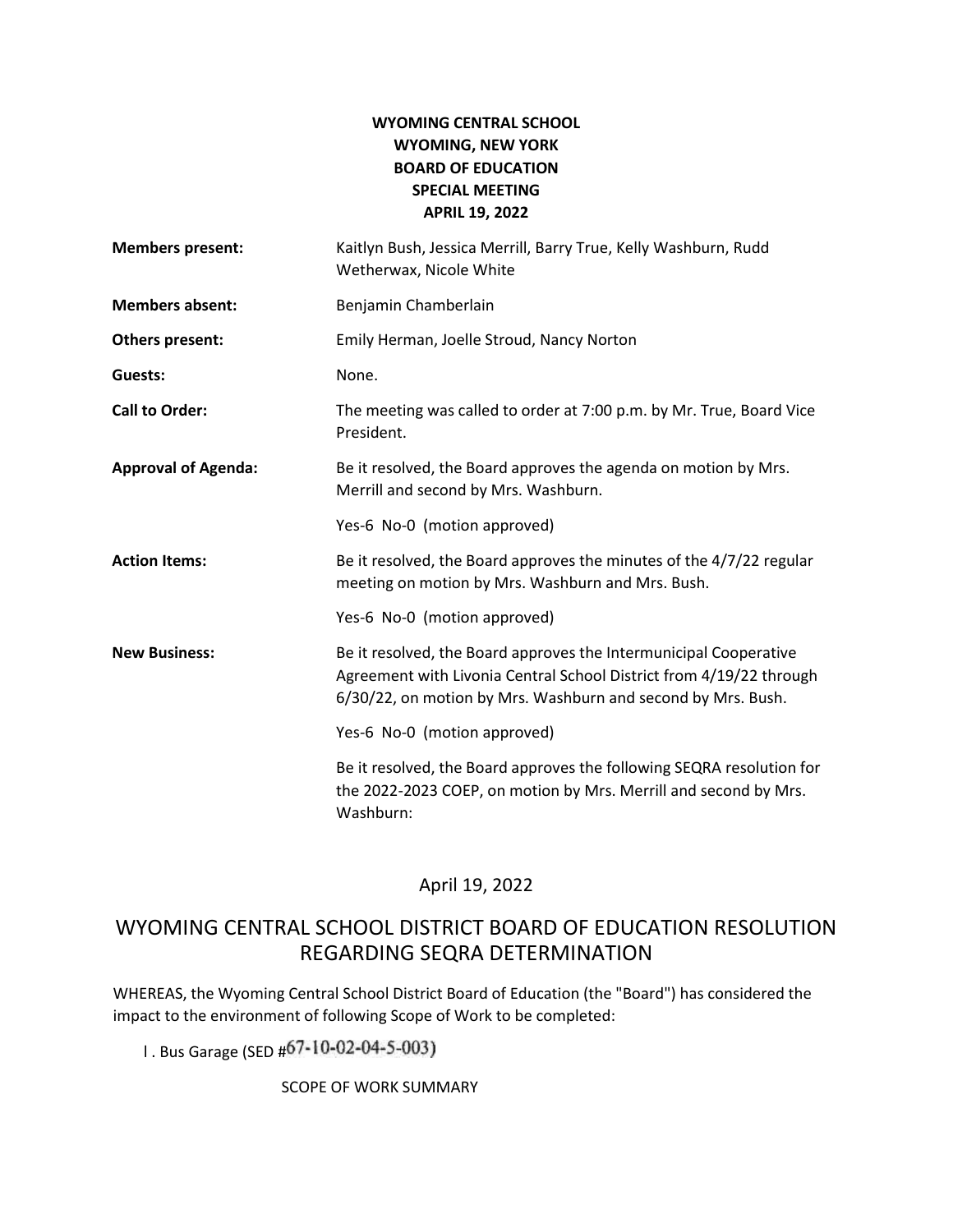## **WYOMING CENTRAL SCHOOL WYOMING, NEW YORK BOARD OF EDUCATION SPECIAL MEETING APRIL 19, 2022**

| <b>Members present:</b>    | Kaitlyn Bush, Jessica Merrill, Barry True, Kelly Washburn, Rudd<br>Wetherwax, Nicole White                                                                                                               |  |
|----------------------------|----------------------------------------------------------------------------------------------------------------------------------------------------------------------------------------------------------|--|
| <b>Members absent:</b>     | Benjamin Chamberlain                                                                                                                                                                                     |  |
| Others present:            | Emily Herman, Joelle Stroud, Nancy Norton                                                                                                                                                                |  |
| Guests:                    | None.                                                                                                                                                                                                    |  |
| <b>Call to Order:</b>      | The meeting was called to order at 7:00 p.m. by Mr. True, Board Vice<br>President.                                                                                                                       |  |
| <b>Approval of Agenda:</b> | Be it resolved, the Board approves the agenda on motion by Mrs.<br>Merrill and second by Mrs. Washburn.                                                                                                  |  |
|                            | Yes-6 No-0 (motion approved)                                                                                                                                                                             |  |
| <b>Action Items:</b>       | Be it resolved, the Board approves the minutes of the 4/7/22 regular<br>meeting on motion by Mrs. Washburn and Mrs. Bush.                                                                                |  |
|                            | Yes-6 No-0 (motion approved)                                                                                                                                                                             |  |
| <b>New Business:</b>       | Be it resolved, the Board approves the Intermunicipal Cooperative<br>Agreement with Livonia Central School District from 4/19/22 through<br>6/30/22, on motion by Mrs. Washburn and second by Mrs. Bush. |  |
|                            | Yes-6 No-0 (motion approved)                                                                                                                                                                             |  |
|                            | Be it resolved, the Board approves the following SEQRA resolution for<br>the 2022-2023 COEP, on motion by Mrs. Merrill and second by Mrs.<br>Washburn:                                                   |  |

## April 19, 2022

# WYOMING CENTRAL SCHOOL DISTRICT BOARD OF EDUCATION RESOLUTION REGARDING SEQRA DETERMINATION

WHEREAS, the Wyoming Central School District Board of Education (the "Board") has considered the impact to the environment of following Scope of Work to be completed:

1. Bus Garage (SED #67-10-02-04-5-003)

SCOPE OF WORK SUMMARY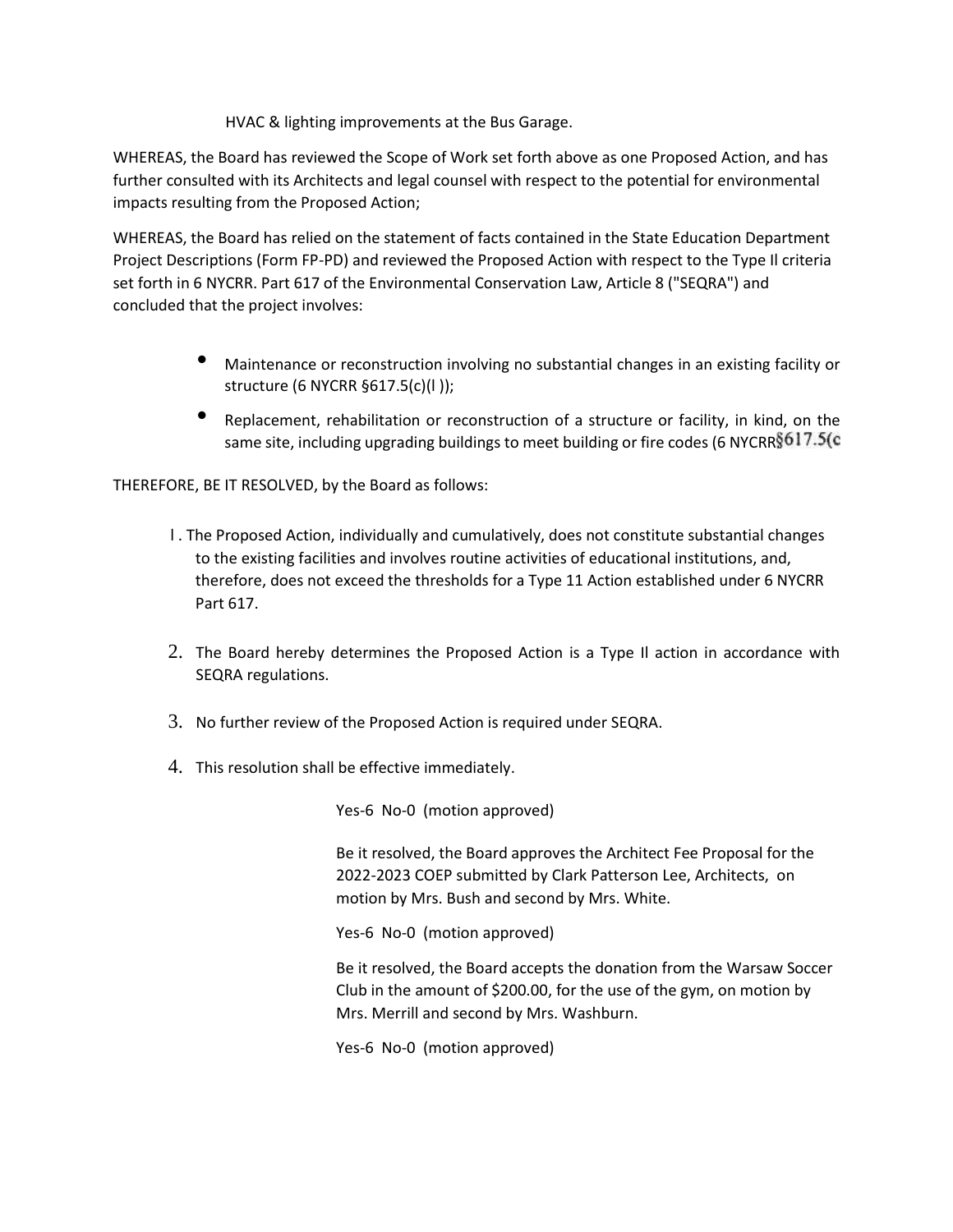HVAC & lighting improvements at the Bus Garage.

WHEREAS, the Board has reviewed the Scope of Work set forth above as one Proposed Action, and has further consulted with its Architects and legal counsel with respect to the potential for environmental impacts resulting from the Proposed Action;

WHEREAS, the Board has relied on the statement of facts contained in the State Education Department Project Descriptions (Form FP-PD) and reviewed the Proposed Action with respect to the Type Il criteria set forth in 6 NYCRR. Part 617 of the Environmental Conservation Law, Article 8 ("SEQRA") and concluded that the project involves:

- Maintenance or reconstruction involving no substantial changes in an existing facility or structure (6 NYCRR §617.5(c)(l ));
- Replacement, rehabilitation or reconstruction of a structure or facility, in kind, on the same site, including upgrading buildings to meet building or fire codes (6 NYCRR§617.5(c

THEREFORE, BE IT RESOLVED, by the Board as follows:

- l . The Proposed Action, individually and cumulatively, does not constitute substantial changes to the existing facilities and involves routine activities of educational institutions, and, therefore, does not exceed the thresholds for a Type 11 Action established under 6 NYCRR Part 617.
- 2. The Board hereby determines the Proposed Action is a Type Il action in accordance with SEQRA regulations.
- 3. No further review of the Proposed Action is required under SEQRA.
- 4. This resolution shall be effective immediately.

Yes-6 No-0 (motion approved)

Be it resolved, the Board approves the Architect Fee Proposal for the 2022-2023 COEP submitted by Clark Patterson Lee, Architects, on motion by Mrs. Bush and second by Mrs. White.

Yes-6 No-0 (motion approved)

Be it resolved, the Board accepts the donation from the Warsaw Soccer Club in the amount of \$200.00, for the use of the gym, on motion by Mrs. Merrill and second by Mrs. Washburn.

Yes-6 No-0 (motion approved)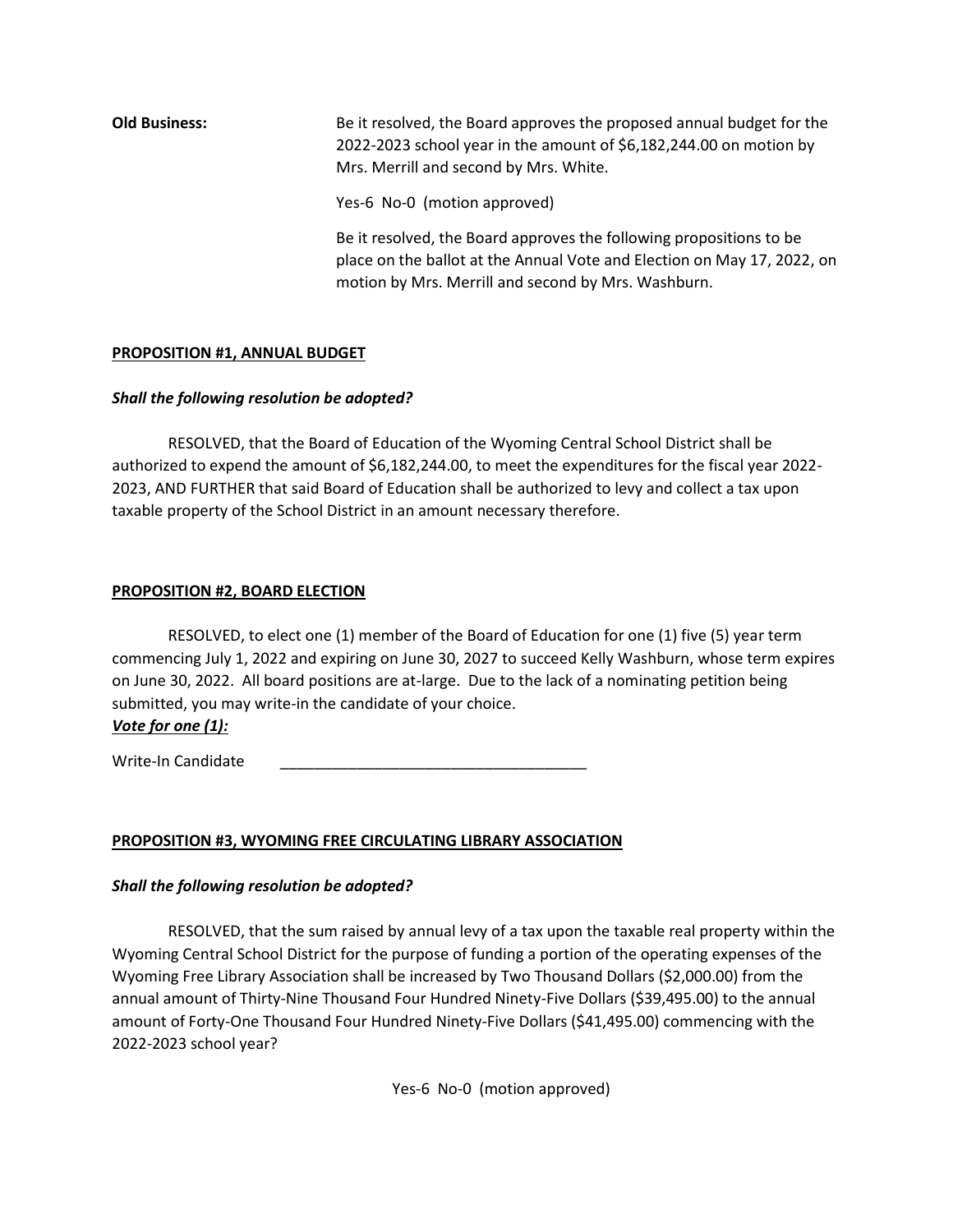# **Old Business:** Be it resolved, the Board approves the proposed annual budget for the 2022-2023 school year in the amount of \$6,182,244.00 on motion by Mrs. Merrill and second by Mrs. White.

Yes-6 No-0 (motion approved)

Be it resolved, the Board approves the following propositions to be place on the ballot at the Annual Vote and Election on May 17, 2022, on motion by Mrs. Merrill and second by Mrs. Washburn.

#### **PROPOSITION #1, ANNUAL BUDGET**

#### *Shall the following resolution be adopted?*

RESOLVED, that the Board of Education of the Wyoming Central School District shall be authorized to expend the amount of \$6,182,244.00, to meet the expenditures for the fiscal year 2022-2023, AND FURTHER that said Board of Education shall be authorized to levy and collect a tax upon taxable property of the School District in an amount necessary therefore.

#### **PROPOSITION #2, BOARD ELECTION**

RESOLVED, to elect one (1) member of the Board of Education for one (1) five (5) year term commencing July 1, 2022 and expiring on June 30, 2027 to succeed Kelly Washburn, whose term expires on June 30, 2022. All board positions are at-large. Due to the lack of a nominating petition being submitted, you may write-in the candidate of your choice. *Vote for one (1):*

Write-In Candidate

### **PROPOSITION #3, WYOMING FREE CIRCULATING LIBRARY ASSOCIATION**

### *Shall the following resolution be adopted?*

RESOLVED, that the sum raised by annual levy of a tax upon the taxable real property within the Wyoming Central School District for the purpose of funding a portion of the operating expenses of the Wyoming Free Library Association shall be increased by Two Thousand Dollars (\$2,000.00) from the annual amount of Thirty-Nine Thousand Four Hundred Ninety-Five Dollars (\$39,495.00) to the annual amount of Forty-One Thousand Four Hundred Ninety-Five Dollars (\$41,495.00) commencing with the 2022-2023 school year?

Yes-6 No-0 (motion approved)